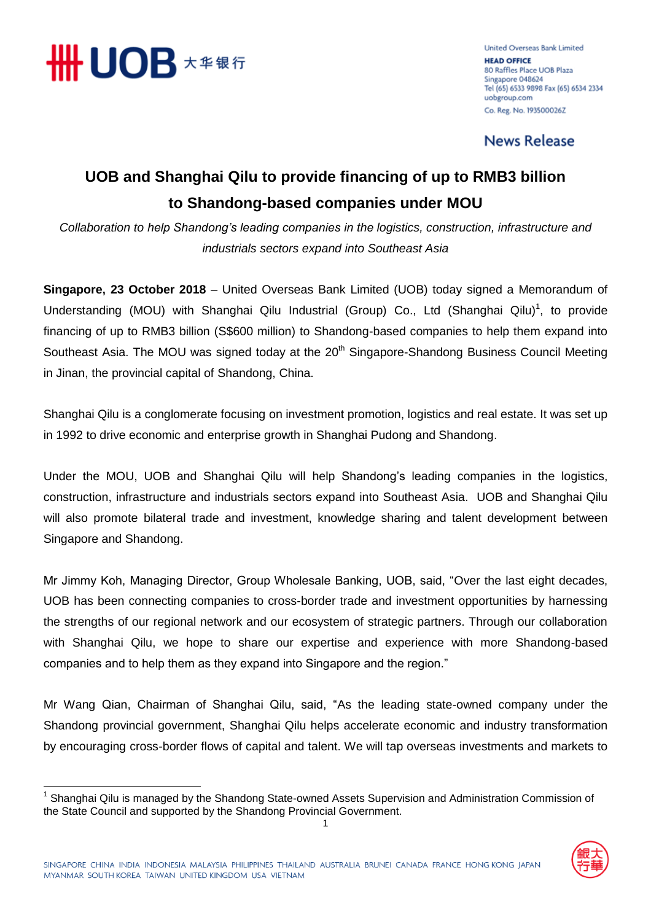

**United Overseas Bank Limited HEAD OFFICE** 80 Raffles Place UOB Plaza Singapore 048624 Tel (65) 6533 9898 Fax (65) 6534 2334 uobgroup.com Co. Reg. No. 193500026Z

**News Release** 

## **UOB and Shanghai Qilu to provide financing of up to RMB3 billion to Shandong-based companies under MOU**

*Collaboration to help Shandong's leading companies in the logistics, construction, infrastructure and industrials sectors expand into Southeast Asia*

**Singapore, 23 October 2018** – United Overseas Bank Limited (UOB) today signed a Memorandum of Understanding (MOU) with Shanghai Qilu Industrial (Group) Co., Ltd (Shanghai Qilu)<sup>1</sup>, to provide financing of up to RMB3 billion (S\$600 million) to Shandong-based companies to help them expand into Southeast Asia. The MOU was signed today at the 20<sup>th</sup> Singapore-Shandong Business Council Meeting in Jinan, the provincial capital of Shandong, China.

Shanghai Qilu is a conglomerate focusing on investment promotion, logistics and real estate. It was set up in 1992 to drive economic and enterprise growth in Shanghai Pudong and Shandong.

Under the MOU, UOB and Shanghai Qilu will help Shandong's leading companies in the logistics, construction, infrastructure and industrials sectors expand into Southeast Asia. UOB and Shanghai Qilu will also promote bilateral trade and investment, knowledge sharing and talent development between Singapore and Shandong.

Mr Jimmy Koh, Managing Director, Group Wholesale Banking, UOB, said, "Over the last eight decades, UOB has been connecting companies to cross-border trade and investment opportunities by harnessing the strengths of our regional network and our ecosystem of strategic partners. Through our collaboration with Shanghai Qilu, we hope to share our expertise and experience with more Shandong-based companies and to help them as they expand into Singapore and the region."

Mr Wang Qian, Chairman of Shanghai Qilu, said, "As the leading state-owned company under the Shandong provincial government, Shanghai Qilu helps accelerate economic and industry transformation by encouraging cross-border flows of capital and talent. We will tap overseas investments and markets to

 $\overline{\phantom{a}}$ <sup>1</sup> Shanghai Qilu is managed by the Shandong State-owned Assets Supervision and Administration Commission of the State Council and supported by the Shandong Provincial Government.